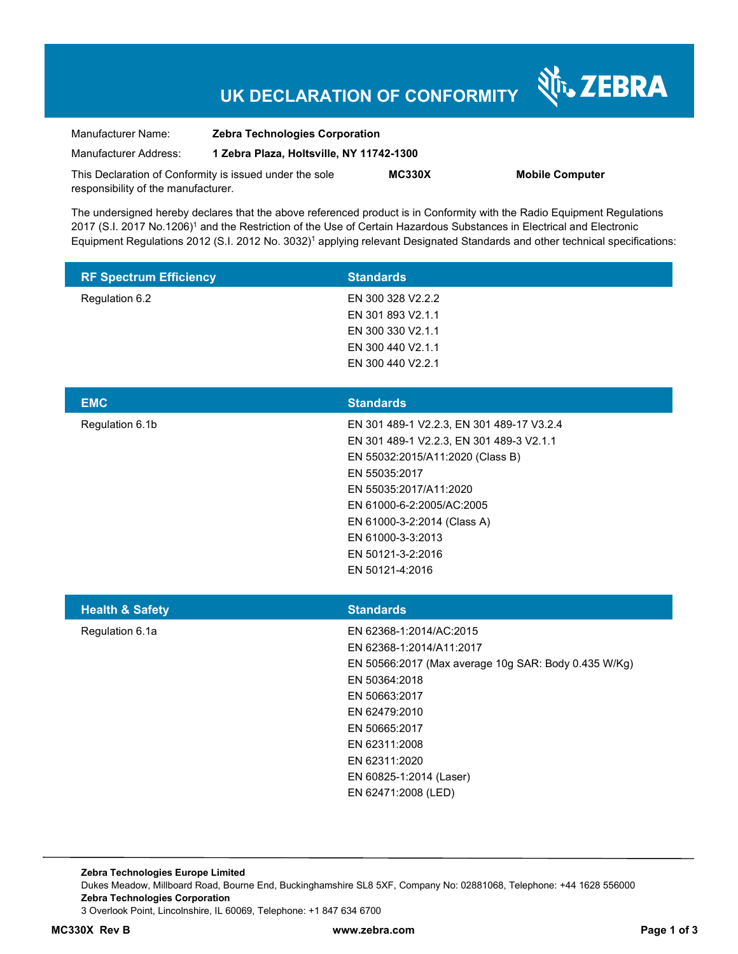## **UK DECLARATION OF CONFORMITY**

Nr. ZEBRA

| Manufacturer Name:                                      | <b>Zebra Technologies Corporation</b>    |               |                        |
|---------------------------------------------------------|------------------------------------------|---------------|------------------------|
| Manufacturer Address:                                   | 1 Zebra Plaza, Holtsville, NY 11742-1300 |               |                        |
| This Declaration of Conformity is issued under the sole |                                          | <b>MC330X</b> | <b>Mobile Computer</b> |
| responsibility of the manufacturer.                     |                                          |               |                        |

The undersigned hereby declares that the above referenced product is in Conformity with the Radio Equipment Regulations 2017 (S.I. 2017 No.1206)<sup>1</sup> and the Restriction of the Use of Certain Hazardous Substances in Electrical and Electronic Equipment Regulations 2012 (S.I. 2012 No. 3032)<sup>1</sup> applying relevant Designated Standards and other technical specifications:

| <b>RF Spectrum Efficiency</b> | <b>Standards</b>                                                                                                                                                                                                                                                                              |
|-------------------------------|-----------------------------------------------------------------------------------------------------------------------------------------------------------------------------------------------------------------------------------------------------------------------------------------------|
| Regulation 6.2                | EN 300 328 V2.2.2<br>EN 301 893 V2.1.1<br>EN 300 330 V2.1.1<br>EN 300 440 V2.1.1                                                                                                                                                                                                              |
|                               | EN 300 440 V2.2.1                                                                                                                                                                                                                                                                             |
| <b>EMC</b>                    | <b>Standards</b>                                                                                                                                                                                                                                                                              |
| Regulation 6.1b               | EN 301 489-1 V2.2.3, EN 301 489-17 V3.2.4<br>EN 301 489-1 V2.2.3, EN 301 489-3 V2.1.1<br>EN 55032:2015/A11:2020 (Class B)<br>EN 55035:2017<br>EN 55035:2017/A11:2020<br>EN 61000-6-2:2005/AC:2005<br>EN 61000-3-2:2014 (Class A)<br>EN 61000-3-3:2013<br>EN 50121-3-2:2016<br>EN 50121-4:2016 |
| <b>Health &amp; Safety</b>    | <b>Standards</b>                                                                                                                                                                                                                                                                              |
| Regulation 6.1a               | EN 62368-1:2014/AC:2015<br>EN 62368-1:2014/A11:2017<br>EN 50566:2017 (Max average 10g SAR: Body 0.435 W/Kg)<br>EN 50364:2018<br>EN 50663:2017<br>EN 62479:2010<br>EN 50665:2017<br>EN 62311:2008<br>EN 62311:2020<br>EN 60825-1:2014 (Laser)<br>EN 62471:2008 (LED)                           |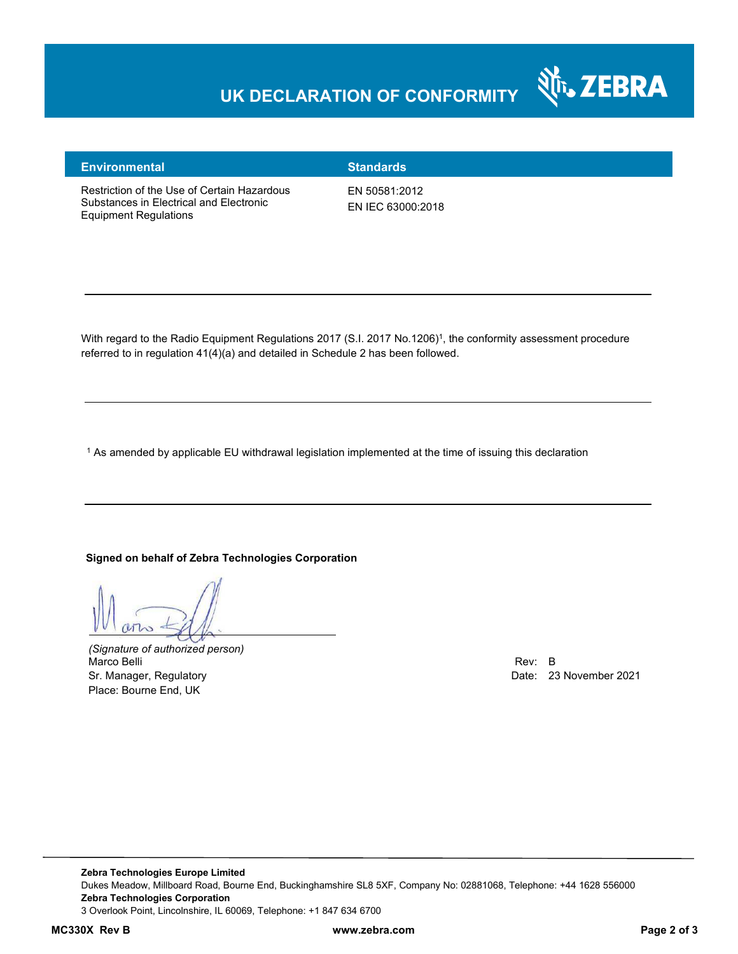### **UK DECLARATION OF CONFORMITY**



#### **Environmental Standards**

Restriction of the Use of Certain Hazardous Substances in Electrical and Electronic Equipment Regulations

EN 50581:2012 EN IEC 63000:2018

With regard to the Radio Equipment Regulations 2017 (S.I. 2017 No.1206)<sup>1</sup>, the conformity assessment procedure referred to in regulation 41(4)(a) and detailed in Schedule 2 has been followed.

1 As amended by applicable EU withdrawal legislation implemented at the time of issuing this declaration

#### **Signed on behalf of Zebra Technologies Corporation**

*(Signature of authorized person)* Marco Belli Rev: B Sr. Manager, Regulatory **Date: 23 November 2021** Place: Bourne End, UK